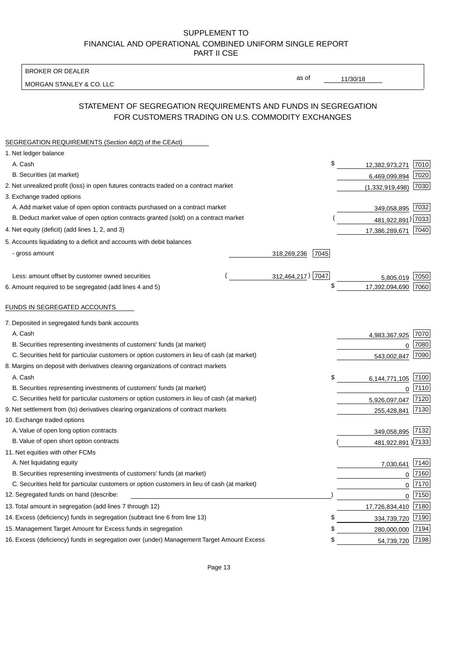BROKER OR DEALER

MORGAN STANLEY & CO. LLC

11/30/18

as of

# STATEMENT OF SEGREGATION REQUIREMENTS AND FUNDS IN SEGREGATION FOR CUSTOMERS TRADING ON U.S. COMMODITY EXCHANGES

| SEGREGATION REQUIREMENTS (Section 4d(2) of the CEAct)                                       |                     |                     |          |
|---------------------------------------------------------------------------------------------|---------------------|---------------------|----------|
| 1. Net ledger balance                                                                       |                     |                     |          |
| A. Cash                                                                                     | \$                  | 12,382,973,271      | 7010     |
| B. Securities (at market)                                                                   |                     | 6,469,099,894       | 7020     |
| 2. Net unrealized profit (loss) in open futures contracts traded on a contract market       |                     | (1,332,919,498)     | 7030     |
| 3. Exchange traded options                                                                  |                     |                     |          |
| A. Add market value of open option contracts purchased on a contract market                 |                     | 349,058,895 7032    |          |
| B. Deduct market value of open option contracts granted (sold) on a contract market         |                     | 481,922,891) 7033   |          |
| 4. Net equity (deficit) (add lines 1, 2, and 3)                                             |                     | 17,386,289,671      | 7040     |
| 5. Accounts liquidating to a deficit and accounts with debit balances                       |                     |                     |          |
| - gross amount                                                                              | 7045<br>318,269,236 |                     |          |
|                                                                                             |                     |                     |          |
| Less: amount offset by customer owned securities                                            | 312,464,217) 7047   | 5,805,019           | 7050     |
| 6. Amount required to be segregated (add lines 4 and 5)                                     | \$                  | 17,392,094,690      | 7060     |
|                                                                                             |                     |                     |          |
| FUNDS IN SEGREGATED ACCOUNTS                                                                |                     |                     |          |
| 7. Deposited in segregated funds bank accounts                                              |                     |                     |          |
| A. Cash                                                                                     |                     | 4,983,367,925       | 7070     |
| B. Securities representing investments of customers' funds (at market)                      |                     | $\mathbf 0$         | 7080     |
| C. Securities held for particular customers or option customers in lieu of cash (at market) |                     | 543,002,847         | 7090     |
| 8. Margins on deposit with derivatives clearing organizations of contract markets           |                     |                     |          |
| A. Cash                                                                                     | \$                  | 6,144,771,105       | 7100     |
| B. Securities representing investments of customers' funds (at market)                      |                     | 0                   | 7110     |
| C. Securities held for particular customers or option customers in lieu of cash (at market) |                     | 5,926,097,047       | 7120     |
| 9. Net settlement from (to) derivatives clearing organizations of contract markets          |                     | 255,428,841         | 7130     |
| 10. Exchange traded options                                                                 |                     |                     |          |
| A. Value of open long option contracts                                                      |                     | 349,058,895 7132    |          |
| B. Value of open short option contracts                                                     |                     | 481,922,891 ) 7133  |          |
| 11. Net equities with other FCMs                                                            |                     |                     |          |
| A. Net liquidating equity                                                                   |                     | 7,030,641           | 7140     |
| B. Securities representing investments of customers' funds (at market)                      |                     | $\mathbf{0}$        | 7160     |
| C. Securities held for particular customers or option customers in lieu of cash (at market) |                     | 0                   | 7170     |
| 12. Segregated funds on hand (describe:                                                     |                     |                     | $0$ 7150 |
| 13. Total amount in segregation (add lines 7 through 12)                                    |                     | 17,726,834,410 7180 |          |
| 14. Excess (deficiency) funds in segregation (subtract line 6 from line 13)                 | \$                  | 334,739,720         | 7190     |
| 15. Management Target Amount for Excess funds in segregation                                | \$                  | 280,000,000         | 7194     |
| 16. Excess (deficiency) funds in segregation over (under) Management Target Amount Excess   | \$                  | 54,739,720 7198     |          |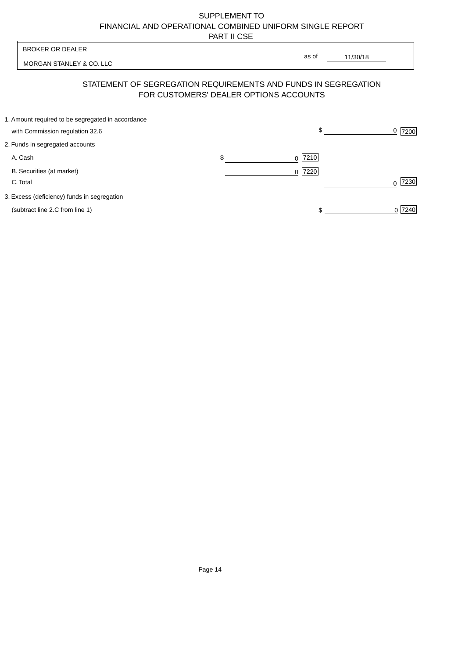$0$  7240

 $\frac{1}{\sqrt{1-\frac{1}{2}}\left(1-\frac{1}{2}\right)}$ 

| <b>BROKER OR DEALER</b>                           |                                        |                                                                |      |
|---------------------------------------------------|----------------------------------------|----------------------------------------------------------------|------|
| MORGAN STANLEY & CO. LLC                          |                                        | as of<br>11/30/18                                              |      |
|                                                   | FOR CUSTOMERS' DEALER OPTIONS ACCOUNTS | STATEMENT OF SEGREGATION REQUIREMENTS AND FUNDS IN SEGREGATION |      |
| 1. Amount required to be segregated in accordance |                                        |                                                                |      |
| with Commission regulation 32.6                   |                                        | $\mathbb{S}$                                                   | 7200 |
| 2. Funds in segregated accounts                   |                                        |                                                                |      |
| A. Cash                                           | \$                                     | $0$ 7210                                                       |      |
| B. Securities (at market)                         |                                        | 0 7220                                                         |      |
| C. Total                                          |                                        |                                                                | 230  |

3. Excess (deficiency) funds in segregation

(subtract line 2.C from line 1)

Page 14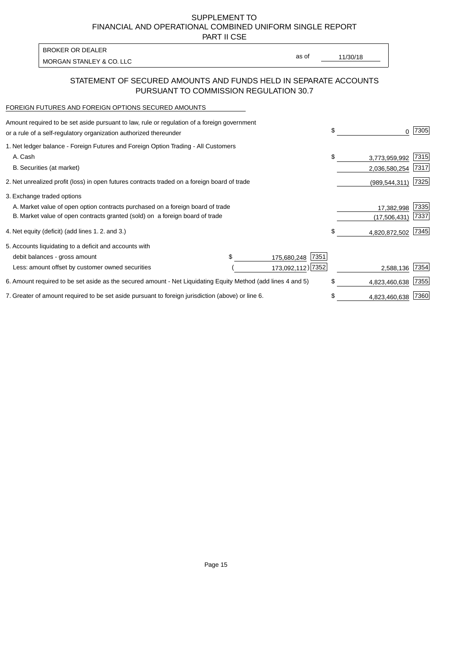PART II CSE

| <b>BROKER OR DEALER</b>  |       |          |
|--------------------------|-------|----------|
| MORGAN STANLEY & CO. LLC | as of | 11/30/18 |
|                          |       |          |

# STATEMENT OF SECURED AMOUNTS AND FUNDS HELD IN SEPARATE ACCOUNTS PURSUANT TO COMMISSION REGULATION 30.7

## FOREIGN FUTURES AND FOREIGN OPTIONS SECURED AMOUNTS

| Amount required to be set aside pursuant to law, rule or regulation of a foreign government<br>or a rule of a self-regulatory organization authorized thereunder |  |                     | \$<br>0             | 7305 |
|------------------------------------------------------------------------------------------------------------------------------------------------------------------|--|---------------------|---------------------|------|
| 1. Net ledger balance - Foreign Futures and Foreign Option Trading - All Customers                                                                               |  |                     |                     |      |
| A. Cash                                                                                                                                                          |  |                     | \$<br>3,773,959,992 | 7315 |
| B. Securities (at market)                                                                                                                                        |  |                     | 2,036,580,254       | 7317 |
| 2. Net unrealized profit (loss) in open futures contracts traded on a foreign board of trade                                                                     |  | (989, 544, 311)     | 7325                |      |
| 3. Exchange traded options                                                                                                                                       |  |                     |                     |      |
| A. Market value of open option contracts purchased on a foreign board of trade                                                                                   |  |                     | 17,382,998          | 7335 |
| B. Market value of open contracts granted (sold) on a foreign board of trade                                                                                     |  |                     | (17,506,431)        | 7337 |
| 4. Net equity (deficit) (add lines 1.2. and 3.)                                                                                                                  |  |                     | \$<br>4,820,872,502 | 7345 |
| 5. Accounts liquidating to a deficit and accounts with                                                                                                           |  |                     |                     |      |
| debit balances - gross amount                                                                                                                                    |  | 7351<br>175,680,248 |                     |      |
| Less: amount offset by customer owned securities                                                                                                                 |  | 173,092,112) 7352   | 2,588,136           | 7354 |
| 6. Amount required to be set aside as the secured amount - Net Liquidating Equity Method (add lines 4 and 5)                                                     |  |                     | \$<br>4,823,460,638 | 7355 |
| 7. Greater of amount required to be set aside pursuant to foreign jurisdiction (above) or line 6.                                                                |  | \$<br>4,823,460,638 | 7360                |      |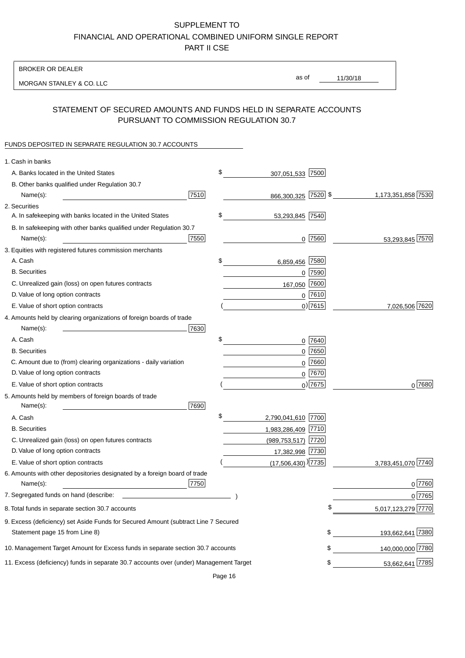BROKER OR DEALER

MORGAN STANLEY & CO. LLC

11/30/18 as of

# STATEMENT OF SECURED AMOUNTS AND FUNDS HELD IN SEPARATE ACCOUNTS PURSUANT TO COMMISSION REGULATION 30.7

### FUNDS DEPOSITED IN SEPARATE REGULATION 30.7 ACCOUNTS

| 1. Cash in banks                                                                       |      |                                    |            |                    |
|----------------------------------------------------------------------------------------|------|------------------------------------|------------|--------------------|
| A. Banks located in the United States                                                  | \$   | 307,051,533 7500                   |            |                    |
| B. Other banks qualified under Regulation 30.7                                         |      |                                    |            |                    |
| Name(s):                                                                               | 7510 | 866,300,325 7520 \$                |            | 1,173,351,858 7530 |
| 2. Securities                                                                          |      |                                    |            |                    |
| A. In safekeeping with banks located in the United States                              | \$   | 53,293,845 7540                    |            |                    |
| B. In safekeeping with other banks qualified under Regulation 30.7                     |      |                                    |            |                    |
| Name(s):                                                                               | 7550 |                                    | $0$  7560  | 53,293,845 7570    |
| 3. Equities with registered futures commission merchants                               |      |                                    |            |                    |
| A. Cash                                                                                | \$   | 6,859,456                          | 7580       |                    |
| <b>B.</b> Securities                                                                   |      |                                    | $0$ 7590   |                    |
| C. Unrealized gain (loss) on open futures contracts                                    |      | 167,050                            | 7600       |                    |
| D. Value of long option contracts                                                      |      |                                    | $0$ 7610   |                    |
| E. Value of short option contracts                                                     |      |                                    | $0)$ 7615  | 7,026,506 7620     |
| 4. Amounts held by clearing organizations of foreign boards of trade                   |      |                                    |            |                    |
| Name(s):                                                                               | 7630 |                                    |            |                    |
| A. Cash                                                                                | \$   |                                    | $0$ 7640   |                    |
| <b>B.</b> Securities                                                                   |      | 0                                  | 7650       |                    |
| C. Amount due to (from) clearing organizations - daily variation                       |      | 0                                  | 7660       |                    |
| D. Value of long option contracts                                                      |      |                                    | 0 7670     |                    |
| E. Value of short option contracts                                                     |      |                                    | $0$ ) 7675 | $0^{7680}$         |
| 5. Amounts held by members of foreign boards of trade<br>Name(s):                      | 7690 |                                    |            |                    |
| A. Cash                                                                                | \$   | 2,790,041,610 7700                 |            |                    |
| <b>B.</b> Securities                                                                   |      | 1,983,286,409 7710                 |            |                    |
| C. Unrealized gain (loss) on open futures contracts                                    |      | (989,753,517) 7720                 |            |                    |
| D. Value of long option contracts                                                      |      | 17,382,998 7730                    |            |                    |
| E. Value of short option contracts                                                     |      | $(17,506,430)$ <sup>)</sup> [7735] |            | 3,783,451,070 7740 |
| 6. Amounts with other depositories designated by a foreign board of trade<br>Name(s):  | 7750 |                                    |            | 0 7760             |
| 7. Segregated funds on hand (describe:                                                 |      |                                    |            | 0 7765             |
| 8. Total funds in separate section 30.7 accounts                                       |      |                                    | \$         | 5,017,123,279 7770 |
| 9. Excess (deficiency) set Aside Funds for Secured Amount (subtract Line 7 Secured     |      |                                    |            |                    |
| Statement page 15 from Line 8)                                                         |      |                                    | \$         | 193,662,641 7380   |
| 10. Management Target Amount for Excess funds in separate section 30.7 accounts        |      |                                    | \$         | 140,000,000 7780   |
| 11. Excess (deficiency) funds in separate 30.7 accounts over (under) Management Target |      |                                    | \$         | 53,662,641 7785    |

Page 16